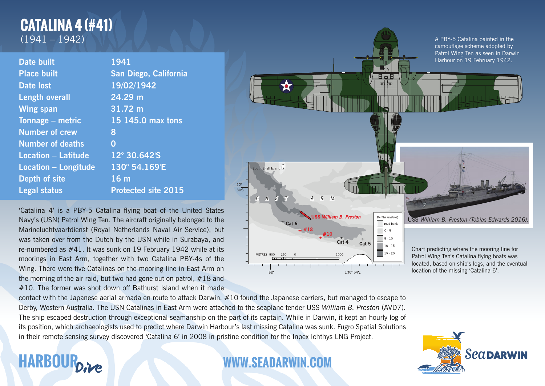## **CATALINA 4 (#41)** (1941 – 1942)

| <b>Date built</b>           | 1941                       |
|-----------------------------|----------------------------|
| <b>Place built</b>          | San Diego, California      |
| <b>Date lost</b>            | 19/02/1942                 |
| <b>Length overall</b>       | 24.29 m                    |
| <b>Wing span</b>            | 31.72 m                    |
| Tonnage - metric            | 15 145.0 max tons          |
| <b>Number of crew</b>       | 8                          |
| <b>Number of deaths</b>     | 0                          |
| <b>Location - Latitude</b>  | 12° 30.642'S               |
| <b>Location - Longitude</b> | 130° 54.169'E              |
| <b>Depth of site</b>        | 16 <sub>m</sub>            |
| <b>Legal status</b>         | <b>Protected site 2015</b> |

'Catalina 4' is a PBY-5 Catalina flying boat of the United States Navy's (USN) Patrol Wing Ten. The aircraft originally belonged to the Marineluchtvaartdienst (Royal Netherlands Naval Air Service), but was taken over from the Dutch by the USN while in Surabaya, and re-numbered as #41. It was sunk on 19 February 1942 while at its moorings in East Arm, together with two Catalina PBY-4s of the Wing. There were five Catalinas on the mooring line in East Arm on the morning of the air raid, but two had gone out on patrol, #18 and #10. The former was shot down off Bathurst Island when it made

A PBY-5 Catalina painted in the camouflage scheme adopted by Patrol Wing Ten as seen in Darwin Harbour on 19 February 1942. - 2 a 2 കി 707 South Shell Island  $0$  $\frac{12^{\circ}}{30^{\circ}S}$  $E$   $A$   $S$  $A$   $R$  $M$ USS William B. Preston Denths (metres USS *William B. Preston (Tobias Edwards 2016).*  $\overline{c}$  Cat 6 mud bank +  $\#18$  +  $\#10$ ╒  $0 - 5$  $\overrightarrow{Cat}$  4  $\Box$  5 - 10  $\overrightarrow{Cat}$  5  $10 - 15$ Chart predicting where the mooring line for MFTRES 500 250 Patrol Wing Ten's Catalina flying boats was located, based on ship's logs, and the eventual location of the missing 'Catalina 6'. 130° 54'E

contact with the Japanese aerial armada en route to attack Darwin. #10 found the Japanese carriers, but managed to escape to Derby, Western Australia. The USN Catalinas in East Arm were attached to the seaplane tender USS *William B. Preston* (AVD7). The ship escaped destruction through exceptional seamanship on the part of its captain. While in Darwin, it kept an hourly log of its position, which archaeologists used to predict where Darwin Harbour's last missing Catalina was sunk. Fugro Spatial Solutions in their remote sensing survey discovered 'Catalina 6' in 2008 in pristine condition for the Inpex Ichthys LNG Project.

## **HARBOUR AND AND WWW.SEADARWIN.COM**